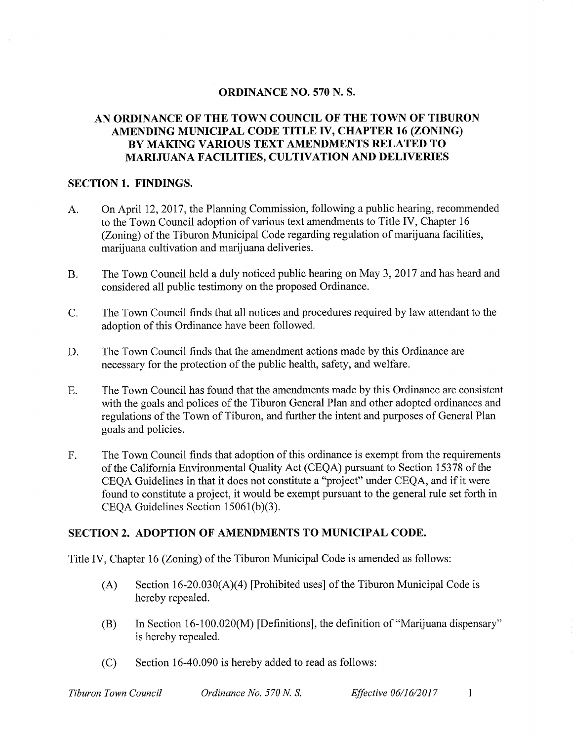# ORDINANCE NO. 570 N. S.

# AN ORDINANCE OF THE TOWN COUNCIL OF THE TOWN OF TIBURON AMENDING MUNICIPAL CODE TITLE IV, CHAPTER 16 (ZONING) BY MAKING VARIOUS TEXT AMENDMENTS RELATED TO MARIJUANA FACILITIES, CULTIVATION AND DELIVERIES

### SECTION 1. FINDINGS.

- A. On April 12, 2017, the Planning Commission, following <sup>a</sup> public hearing, recommended to the Town Council adoption of various text amendments to Title IV, Chapter 16 Zoning) of the Tiburon Municipal Code regarding regulation of marijuana facilities, marijuana cultivation and marijuana deliveries.
- B. The Town Council held a duly noticed public hearing on May 3, 2017 and has heard and considered all public testimony on the proposed Ordinance.
- C. The Town Council finds that all notices and procedures required by law attendant to the adoption of this Ordinance have been followed.
- D. The Town Council finds that the amendment actions made by this Ordinance are necessary for the protection of the public health, safety, and welfare.
- E. The Town Council has found that the amendments made by this Ordinance are consistent with the goals and polices of the Tiburon General Plan and other adopted ordinances and regulations of the Town of Tiburon, and further the intent and purposes of General Plan goals and policies.
- F. The Town Council finds that adoption of this ordinance is exempt from the requirements of the California Environmental Quality Act( CEQA) pursuant to Section 15378 of the CEQA Guidelines in that it does not constitute a" project" under CEQA, and if it were found to constitute a project, it would be exempt pursuant to the general rule set forth in CEQA Guidelines Section  $15061(b)(3)$ .

# SECTION 2. ADOPTION OF AMENDMENTS TO MUNICIPAL CODE.

Title IV, Chapter 16 (Zoning) of the Tiburon Municipal Code is amended as follows:

- (A) Section  $16-20.030(A)(4)$  [Prohibited uses] of the Tiburon Municipal Code is hereby repealed.
- B) In Section 16- 100. 020(M) [Definitions], the definition of" Marijuana dispensary" is hereby repealed.
- (C) Section 16-40.090 is hereby added to read as follows: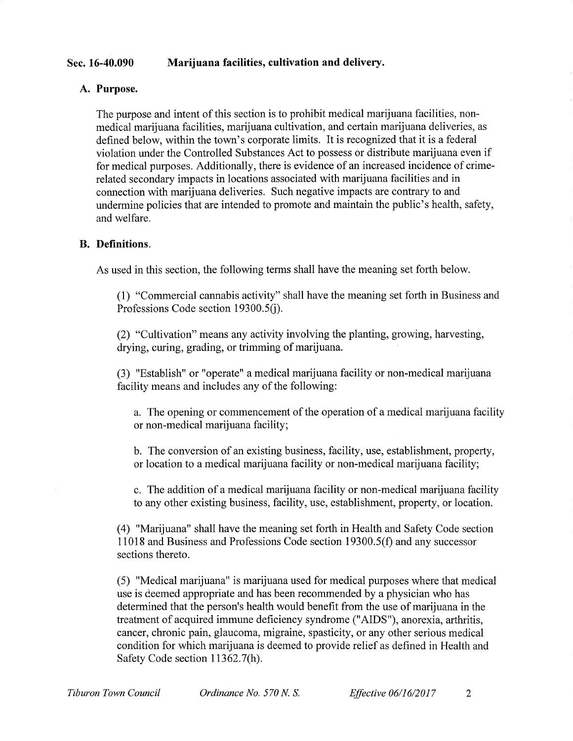## Sec. 16-40.090 Marijuana facilities, cultivation and delivery.

### A. Purpose.

The purpose and intent of this section is to prohibit medical marijuana facilities, nonmedical marijuana facilities, marijuana cultivation, and certain marijuana deliveries, as defined below, within the town's corporate limits. It is recognized that it is a federal violation under the Controlled Substances Act to possess or distribute marijuana even if for medical purposes. Additionally, there is evidence of an increased incidence of crimerelated secondary impacts in locations associated with marijuana facilities and in connection with marijuana deliveries. Such negative impacts are contrary to and undermine policies that are intended to promote and maintain the public's health, safety, and welfare.

### B. Definitions.

As used in this section, the following terms shall have the meaning set forth below.

1) " Commercial cannabis activity" shall have the meaning set forth in Business and Professions Code section 19300.5(j).

2) " Cultivation" means any activity involving the planting, growing, harvesting, drying, curing, grading, or trimming of marijuana.

3) " Establish" or "operate" a medical marijuana facility or non-medical marijuana facility means and includes any of the following:

a. The opening or commencement of the operation of <sup>a</sup> medical marijuana facility or non-medical marijuana facility;

b. The conversion of an existing business, facility, use, establishment, property, or location to a medical marijuana facility or non-medical marijuana facility;

c. The addition of <sup>a</sup> medical marijuana facility or non-medical marijuana facility to any other existing business, facility, use, establishment, property, or location.

4) " Marijuana" shall have the meaning set forth in Health and Safety Code section <sup>11018</sup> and Business and Professions Code section 19300. 5( f) and any successor sections thereto.

5) " Medical marijuana" is marijuana used for medical purposes where that medical use is deemed appropriate and has been recommended by a physician who has determined that the person's health would benefit from the use of marijuana in the treatment of acquired immune deficiency syndrome (" AIDS"), anorexia, arthritis, cancer, chronic pain, glaucoma, migraine, spasticity, or any other serious medical condition for which marijuana is deemed to provide relief as defined in Health and Safety Code section 11362.7(h).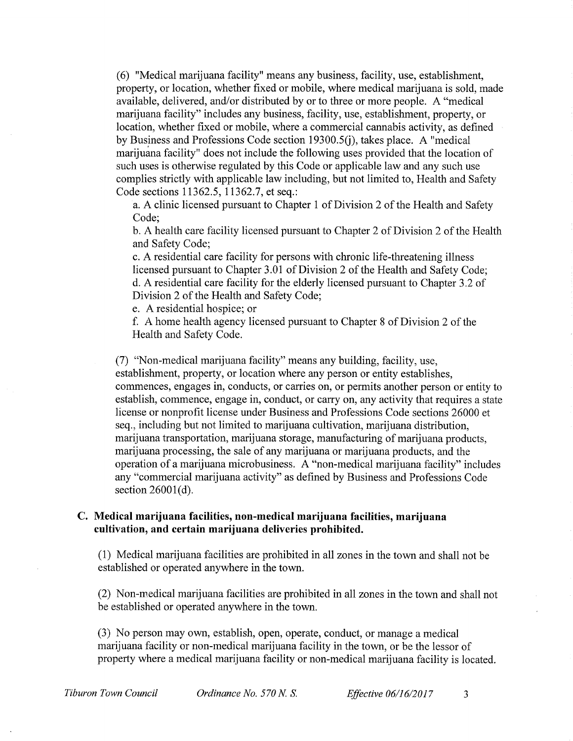6) " Medical marijuana facility" means any business, facility, use, establishment, property, or location, whether fixed or mobile, where medical marijuana is sold, made available, delivered, and/or distributed by or to three or more people. A "medical marijuana facility" includes any business, facility, use, establishment, property, or location, whether fixed or mobile, where a commercial cannabis activity, as defined by Business and Professions Code section  $19300.5(i)$ , takes place. A "medical marijuana facility" does not include the following uses provided that the location of such uses is otherwise regulated by this Code or applicable law and any such use complies strictly with applicable law including, but not limited to, Health and Safety Code sections 11362.5, 11362.7, et seq.:

a. A clinic licensed pursuant to Chapter <sup>1</sup> of Division 2 of the Health and Safety Code;

b. A health care facility licensed pursuant to Chapter 2 of Division 2 of the Health and Safety Code;

c. A residential care facility for persons with chronic life-threatening illness licensed pursuant to Chapter 3. <sup>01</sup> of Division 2 of the Health and Safety Code; d. A residential care facility for the elderly licensed pursuant to Chapter 3.2 of Division 2 of the Health and Safety Code;

e. A residential hospice; or

f. A home health agency licensed pursuant to Chapter 8 of Division 2 of the Health and Safety Code.

7) " Non-medical marijuana facility" means any building, facility, use, establishment, property, or location where any person or entity establishes, commences, engages in, conducts, or carries on, or permits another person or entity to establish, commence, engage in, conduct, or carry on, any activity that requires a state license or nonprofit license under Business and Professions Code sections 26000 et seq., including but not limited to marijuana cultivation, marijuana distribution, marijuana transportation, marijuana storage, manufacturing of marijuana products, marijuana processing, the sale of any marijuana or marijuana products, and the operation of a marijuana microbusiness. A" non-medical marijuana facility" includes any " commercial marijuana activity" as defined by Business and Professions Code section  $26001(d)$ .

#### C. Medical marijuana facilities, non-medical marijuana facilities, marijuana cultivation, and certain marijuana deliveries prohibited.

1) Medical marijuana facilities are prohibited in all zones in the town and shall not be established or operated anywhere in the town.

2) Non-medical marijuana facilities are prohibited in all zones in the town and shall not be established or operated anywhere in the town.

3) No person may own, establish, open, operate, conduct, or manage a medical marijuana facility or non-medical marijuana facility in the town, or be the lessor of property where a medical marijuana facility or non-medical marijuana facility is located.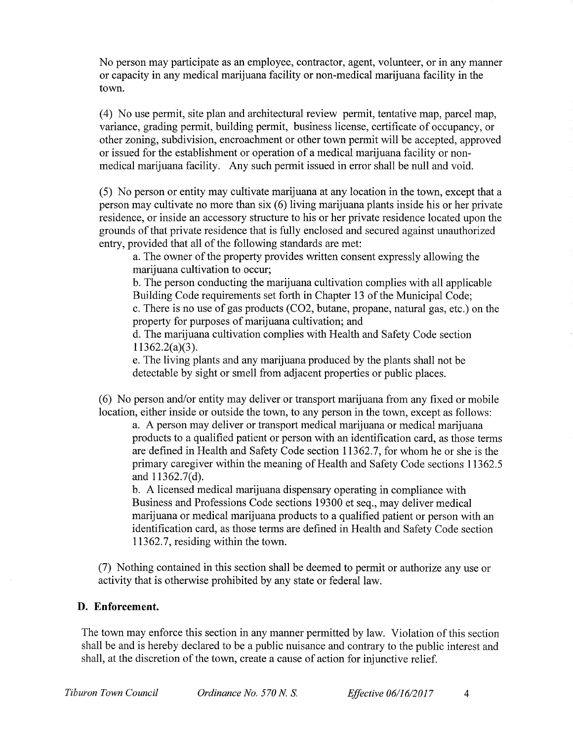No person may participate as an employee, contractor, agent, volunteer, or in any manner or capacity in any medical marijuana facility or non-medical marijuana facility in the town.

4) No use permit, site plan and architectural review permit, tentative map, parcel map, variance, grading permit, building permit, business license, certificate of occupancy, or other zoning, subdivision, encroachment or other town permit will be accepted, approved or issued for the establishment or operation of <sup>a</sup> medical marijuana facility or nonmedical marijuana facility. Any such permit issued in error shall be null and void.

5) No person or entity may cultivate marijuana at any location in the town, except that a person may cultivate no more than six (6) living marijuana plants inside his or her private residence, or inside an accessory structure to his or her private residence located upon the grounds of that private residence that is fully enclosed and secured against unauthorized entry, provided that all of the following standards are met:

a. The owner of the property provides written consent expressly allowing the marijuana cultivation to occur;

b. The person conducting the marijuana cultivation complies with all applicable Building Code requirements set forth in Chapter 13 of the Municipal Code; c. There is no use of gas products ( CO2, butane, propane, natural gas, etc.) on the property for purposes of marijuana cultivation; and

d. The marijuana cultivation complies with Health and Safety Code section  $11362.2(a)(3)$ .

e. The living plants and any marijuana produced by the plants shall not be detectable by sight or smell from adjacent properties or public places.

6) No person and/or entity may deliver or transport marijuana from any fixed or mobile location, either inside or outside the town, to any person in the town, except as follows:

a. A person may deliver or transport medical marijuana or medical marijuana products to a qualified patient or person with an identification card, as those terms are' defined in Health and Safety Code section 113 62. 7, for whom he or she is the primary caregiver within the meaning of Health and Safety Code sections 11362. <sup>5</sup> and 11362.7(d).

b. A licensed medical marijuana dispensary operating in compliance with Business and Professions Code sections 19300 et seq., may deliver medical marijuana or medical marijuana products to a qualified patient or person with an identification card, as those terms are defined in Health and Safety Code section 113 62. 7, residing within the town.

7) Nothing contained in this section shall be deemed to permit or authorize any use or activity that is otherwise prohibited by any state or federal law.

#### D. Enforcement.

The town may enforce this section in any manner permitted by law. Violation of this section shall be and is hereby declared to be a public nuisance and contrary to the public interest and shall, at the discretion of the town, create <sup>a</sup> cause of action for injunctive relief.